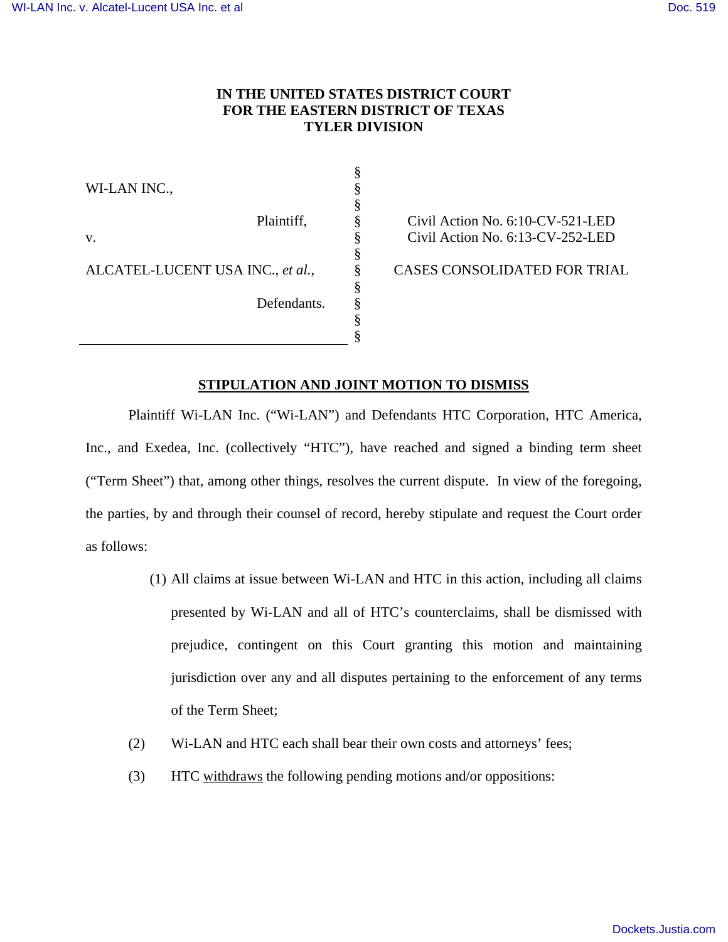# **IN THE UNITED STATES DISTRICT COURT FOR THE EASTERN DISTRICT OF TEXAS TYLER DIVISION**

§ § § § § § § § § § §

WI-LAN INC.,

v.

Plaintiff,

Defendants.

ALCATEL-LUCENT USA INC., *et al.*,

Civil Action No. 6:10-CV-521-LED Civil Action No. 6:13-CV-252-LED

CASES CONSOLIDATED FOR TRIAL

# **STIPULATION AND JOINT MOTION TO DISMISS**

Plaintiff Wi-LAN Inc. ("Wi-LAN") and Defendants HTC Corporation, HTC America, Inc., and Exedea, Inc. (collectively "HTC"), have reached and signed a binding term sheet ("Term Sheet") that, among other things, resolves the current dispute. In view of the foregoing, the parties, by and through their counsel of record, hereby stipulate and request the Court order as follows:

- (1) All claims at issue between Wi-LAN and HTC in this action, including all claims presented by Wi-LAN and all of HTC's counterclaims, shall be dismissed with prejudice, contingent on this Court granting this motion and maintaining jurisdiction over any and all disputes pertaining to the enforcement of any terms of the Term Sheet;
- (2) Wi-LAN and HTC each shall bear their own costs and attorneys' fees;
- (3) HTC withdraws the following pending motions and/or oppositions: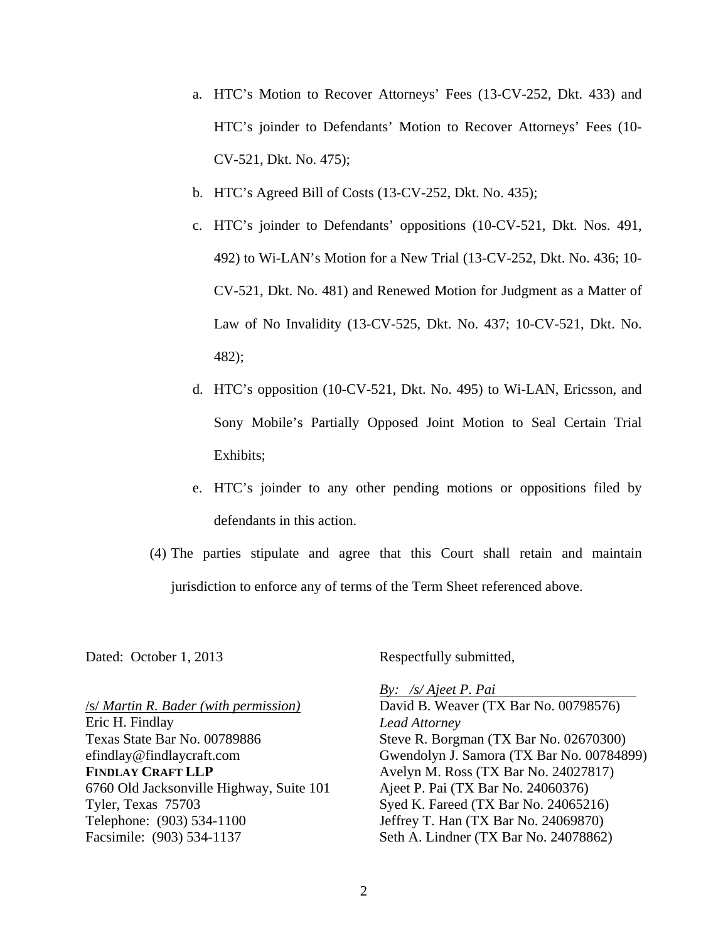- a. HTC's Motion to Recover Attorneys' Fees (13-CV-252, Dkt. 433) and HTC's joinder to Defendants' Motion to Recover Attorneys' Fees (10- CV-521, Dkt. No. 475);
- b. HTC's Agreed Bill of Costs (13-CV-252, Dkt. No. 435);
- c. HTC's joinder to Defendants' oppositions (10-CV-521, Dkt. Nos. 491, 492) to Wi-LAN's Motion for a New Trial (13-CV-252, Dkt. No. 436; 10- CV-521, Dkt. No. 481) and Renewed Motion for Judgment as a Matter of Law of No Invalidity (13-CV-525, Dkt. No. 437; 10-CV-521, Dkt. No. 482);
- d. HTC's opposition (10-CV-521, Dkt. No. 495) to Wi-LAN, Ericsson, and Sony Mobile's Partially Opposed Joint Motion to Seal Certain Trial Exhibits;
- e. HTC's joinder to any other pending motions or oppositions filed by defendants in this action.
- (4) The parties stipulate and agree that this Court shall retain and maintain jurisdiction to enforce any of terms of the Term Sheet referenced above.

Dated: October 1, 2013

Respectfully submitted,

/s/ *Martin R. Bader (with permission)*  Eric H. Findlay Texas State Bar No. 00789886 efindlay@findlaycraft.com **FINDLAY CRAFT LLP**  6760 Old Jacksonville Highway, Suite 101 Tyler, Texas 75703 Telephone: (903) 534-1100 Facsimile: (903) 534-1137

*By: /s/ Ajeet P. Pai*  David B. Weaver (TX Bar No. 00798576) *Lead Attorney*  Steve R. Borgman (TX Bar No. 02670300) Gwendolyn J. Samora (TX Bar No. 00784899) Avelyn M. Ross (TX Bar No. 24027817) Ajeet P. Pai (TX Bar No. 24060376) Syed K. Fareed (TX Bar No. 24065216) Jeffrey T. Han (TX Bar No. 24069870) Seth A. Lindner (TX Bar No. 24078862)